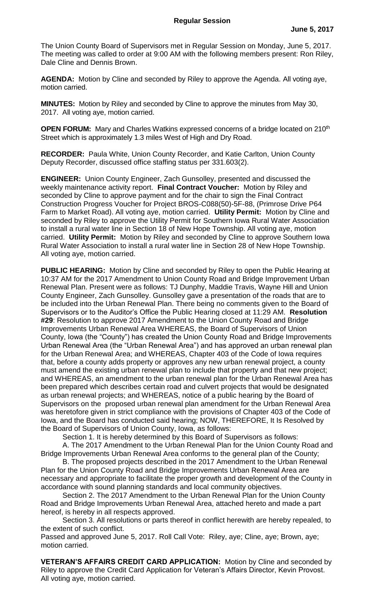The Union County Board of Supervisors met in Regular Session on Monday, June 5, 2017. The meeting was called to order at 9:00 AM with the following members present: Ron Riley, Dale Cline and Dennis Brown.

**AGENDA:** Motion by Cline and seconded by Riley to approve the Agenda. All voting aye, motion carried.

**MINUTES:** Motion by Riley and seconded by Cline to approve the minutes from May 30, 2017. All voting aye, motion carried.

**OPEN FORUM:** Mary and Charles Watkins expressed concerns of a bridge located on 210<sup>th</sup> Street which is approximately 1.3 miles West of High and Dry Road.

**RECORDER:** Paula White, Union County Recorder, and Katie Carlton, Union County Deputy Recorder, discussed office staffing status per 331.603(2).

**ENGINEER:** Union County Engineer, Zach Gunsolley, presented and discussed the weekly maintenance activity report. **Final Contract Voucher:** Motion by Riley and seconded by Cline to approve payment and for the chair to sign the Final Contract Construction Progress Voucher for Project BROS-C088(50)-5F-88, (Primrose Drive P64 Farm to Market Road). All voting aye, motion carried. **Utility Permit:** Motion by Cline and seconded by Riley to approve the Utility Permit for Southern Iowa Rural Water Association to install a rural water line in Section 18 of New Hope Township. All voting aye, motion carried. **Utility Permit:** Motion by Riley and seconded by Cline to approve Southern Iowa Rural Water Association to install a rural water line in Section 28 of New Hope Township. All voting aye, motion carried.

**PUBLIC HEARING:** Motion by Cline and seconded by Riley to open the Public Hearing at 10:37 AM for the 2017 Amendment to Union County Road and Bridge Improvement Urban Renewal Plan. Present were as follows: TJ Dunphy, Maddie Travis, Wayne Hill and Union County Engineer, Zach Gunsolley. Gunsolley gave a presentation of the roads that are to be included into the Urban Renewal Plan. There being no comments given to the Board of Supervisors or to the Auditor's Office the Public Hearing closed at 11:29 AM. **Resolution #29**: Resolution to approve 2017 Amendment to the Union County Road and Bridge Improvements Urban Renewal Area WHEREAS, the Board of Supervisors of Union County, Iowa (the "County") has created the Union County Road and Bridge Improvements Urban Renewal Area (the "Urban Renewal Area") and has approved an urban renewal plan for the Urban Renewal Area; and WHEREAS, Chapter 403 of the Code of Iowa requires that, before a county adds property or approves any new urban renewal project, a county must amend the existing urban renewal plan to include that property and that new project; and WHEREAS, an amendment to the urban renewal plan for the Urban Renewal Area has been prepared which describes certain road and culvert projects that would be designated as urban renewal projects; and WHEREAS, notice of a public hearing by the Board of Supervisors on the proposed urban renewal plan amendment for the Urban Renewal Area was heretofore given in strict compliance with the provisions of Chapter 403 of the Code of Iowa, and the Board has conducted said hearing; NOW, THEREFORE, It Is Resolved by the Board of Supervisors of Union County, Iowa, as follows:

Section 1. It is hereby determined by this Board of Supervisors as follows:

A. The 2017 Amendment to the Urban Renewal Plan for the Union County Road and Bridge Improvements Urban Renewal Area conforms to the general plan of the County;

B. The proposed projects described in the 2017 Amendment to the Urban Renewal Plan for the Union County Road and Bridge Improvements Urban Renewal Area are necessary and appropriate to facilitate the proper growth and development of the County in accordance with sound planning standards and local community objectives.

Section 2. The 2017 Amendment to the Urban Renewal Plan for the Union County Road and Bridge Improvements Urban Renewal Area, attached hereto and made a part hereof, is hereby in all respects approved.

Section 3. All resolutions or parts thereof in conflict herewith are hereby repealed, to the extent of such conflict.

Passed and approved June 5, 2017. Roll Call Vote: Riley, aye; Cline, aye; Brown, aye; motion carried.

**VETERAN'S AFFAIRS CREDIT CARD APPLICATION:** Motion by Cline and seconded by Riley to approve the Credit Card Application for Veteran's Affairs Director, Kevin Provost. All voting aye, motion carried.